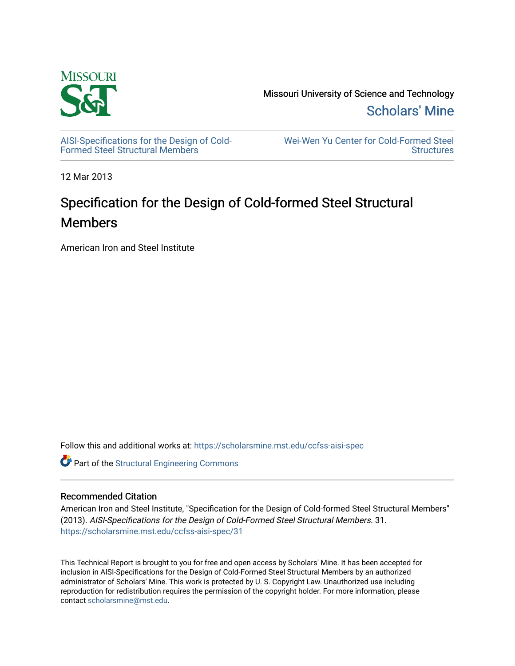

[AISI-Specifications for the Design of Cold-](https://scholarsmine.mst.edu/ccfss-aisi-spec)[Formed Steel Structural Members](https://scholarsmine.mst.edu/ccfss-aisi-spec)

[Wei-Wen Yu Center for Cold-Formed Steel](https://scholarsmine.mst.edu/ccfss)  **Structures** 

12 Mar 2013

# Specification for the Design of Cold-formed Steel Structural Members

American Iron and Steel Institute

Follow this and additional works at: [https://scholarsmine.mst.edu/ccfss-aisi-spec](https://scholarsmine.mst.edu/ccfss-aisi-spec?utm_source=scholarsmine.mst.edu%2Fccfss-aisi-spec%2F31&utm_medium=PDF&utm_campaign=PDFCoverPages) 

Part of the [Structural Engineering Commons](http://network.bepress.com/hgg/discipline/256?utm_source=scholarsmine.mst.edu%2Fccfss-aisi-spec%2F31&utm_medium=PDF&utm_campaign=PDFCoverPages) 

### Recommended Citation

American Iron and Steel Institute, "Specification for the Design of Cold-formed Steel Structural Members" (2013). AISI-Specifications for the Design of Cold-Formed Steel Structural Members. 31. [https://scholarsmine.mst.edu/ccfss-aisi-spec/31](https://scholarsmine.mst.edu/ccfss-aisi-spec/31?utm_source=scholarsmine.mst.edu%2Fccfss-aisi-spec%2F31&utm_medium=PDF&utm_campaign=PDFCoverPages)

This Technical Report is brought to you for free and open access by Scholars' Mine. It has been accepted for inclusion in AISI-Specifications for the Design of Cold-Formed Steel Structural Members by an authorized administrator of Scholars' Mine. This work is protected by U. S. Copyright Law. Unauthorized use including reproduction for redistribution requires the permission of the copyright holder. For more information, please contact [scholarsmine@mst.edu](mailto:scholarsmine@mst.edu).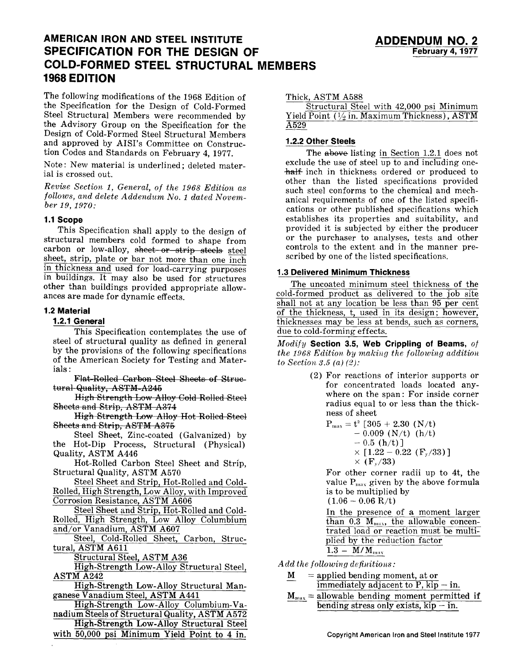## **AMERICAN IRON AND STEEL INSTITUTE SPECIFICATION FOR THE DESIGN OF COLD-FORMED STEEL STRUCTURAL MEMBERS 1968 EDITION**

The following modifications of the 1968 Edition of the Specification for the Design of Cold-Formed Steel Structural Members were recommended by the Advisory Group on the Specification for the Design of Cold-Formed Steel Structural Members and approved by AISI's Committee on Construction Codes and Standards on February 4, 1977.

Note: New material is underlined; deleted material is crossed out.

*Revise Section 1, General, of the 1968 Edition as follows, and delete Addendum No. 1 dated November 19, 1970:* 

#### **1.1 Scope**

This Specification shall apply to the design of structural members cold formed to shape from carbon or low-alloy, sheet or strip steels steel sheet, strip, plate or bar not more than one inch in thickness and used for load-carrying purposes in buildings. It may also be used for structures other than buildings provided appropriate allowances are made for dynamic effects.

#### **1.2 Material**

#### **1.2.1 General**

This Specification contemplates the use of steel of structural quality as defined in general by the provisions of the following specifications of the American Society for Testing and Materials:

Flat-Rolled Carbon Steel Sheets of Struetural Quality, ASTM-A245

High Strength Low Alloy Cold Rolled Steel Sheets and Strip, ASTM A374

High Strength Low Alloy Hot Rolled Steel Sheets and Strip, ASTM A376

Steel Sheet, Zinc-coated (Galvanized) by the Hot-Dip Process, Structural (Physical) Quality, ASTM A446

Hot-Rolled Carbon Steel Sheet and Strip, Structural Quality, ASTM A570

Steel Sheet and Strip, Hot-Rolled and Cold-Rolled, High Strength, Low Alloy, with Improved Corrosion Resistance, ASTM A606

Steel Sheet and Strip, Hot-Rolled and Cold-Rolled, High Strength, Low Alloy Columbium and/or Vanadium, ASTM A607

Steel, Cold-Rolled Sheet, Carbon, Structural, ASTM A611

Structural Steel, ASTM A36

High-Strength Low-Alloy Structural Steel, ASTM A242

High-Strength Low-Alloy Structural Manganese Vanadium Steel, ASTM A441

High-Strength Low-Alloy Columbium-Vanadium Steels of Structural Quality, ASTM A572

High-Strength Low-Alloy Structural Steel

with 50,000 psi Minimum Yield Point to 4 in.

#### Thick, ASTM A588

Structural Steel with 42,000 psi Minimum Yield Point  $(\frac{1}{2})$  in. Maximum Thickness), ASTM A529

#### **1.2.2 Other Steels**

The  $a$ bove listing in Section 1.2.1 does not exclude the use of steel up to and including onehalf inch in thickness ordered or produced to other than the listed specifications provided such steel conforms to the chemical and mechanical requirements of one of the listed specifications or other published specifications which establishes its properties and suitability, and provided it is subjected by either the producer or the purchaser to analyses, tests and other controls to the extent and in the manner prescribed by one of the listed specifications.

#### **1.3 Delivered Minimum Thickness**

The uncoated minimum steel thickness of the cold-formed product as delivered to the job site shall not at any location be less than 95 per cent of the thickness, t, used in its design; however, thicknesses may be less at bends, such as corners, due to cold-forming effects.

*Modify* **Section 3.5, Web Crippling of Beams,** *of the 1968 Edition by making the following addition to Section 3.5 (a) (2):* 

> (2) For reactions of interior supports or for concentrated loads located anywhere on the span: For inside corner radius equal to or less than the thickness of sheet

$$
\begin{array}{c} \rm P_{max} = t^2 \;[\,305 + 2.30 \;\; (N/t) \\ \rm -0.009 \;\; (N/t) \;\; (h/t) \\ \rm -0.5 \;\; (h/t) \,]\, \\ \times \;\; [1.22 - 0.22 \;\; (F_y/33)\,] \\ \times \;\; (F_y/33) \end{array}
$$

For other corner radii up to 4t, the value  $P_{\text{max}}$  given by the above formula is to be multiplied by

 $(1.06 - 0.06$  R/t)

In the presence of a moment larger than 0.3  $M_{\text{max}}$ , the allowable concentrated load or reaction must be multiplied by the reduction factor  $1.9$  M/M

$$
1.0 - 10 / M_{\text{max}}
$$

*Add the following dejiuitions:* 

- $M =$  applied bending moment, at or immediately adjacent to  $\overline{P}$ ,  $\overline{kip}-\overline{in}$ .
- $M_{\text{max}} =$  allowable bending moment permitted if bending stress only exists,  $kip- $-i$ n.$